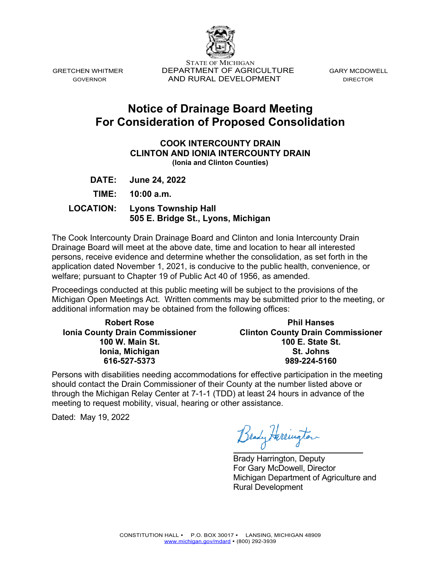

STATE OF MICHIGAN GRETCHEN WHITMER DEPARTMENT OF AGRICULTURE GARY MCDOWELL GOVERNOR **AND RURAL DEVELOPMENT** DIRECTOR

# **Notice of Drainage Board Meeting For Consideration of Proposed Consolidation**

### **COOK INTERCOUNTY DRAIN CLINTON AND IONIA INTERCOUNTY DRAIN (Ionia and Clinton Counties)**

**DATE: June 24, 2022** 

**TIME: 10:00 a.m.** 

 **LOCATION: Lyons Township Hall 505 E. Bridge St., Lyons, Michigan** 

The Cook Intercounty Drain Drainage Board and Clinton and Ionia Intercounty Drain Drainage Board will meet at the above date, time and location to hear all interested persons, receive evidence and determine whether the consolidation, as set forth in the application dated November 1, 2021, is conducive to the public health, convenience, or welfare; pursuant to Chapter 19 of Public Act 40 of 1956, as amended.

Proceedings conducted at this public meeting will be subject to the provisions of the Michigan Open Meetings Act. Written comments may be submitted prior to the meeting, or additional information may be obtained from the following offices:

**Robert Rose Ionia County Drain Commissioner 100 W. Main St. Ionia, Michigan 616-527-5373**

**Phil Hanses Clinton County Drain Commissioner 100 E. State St. St. Johns 989-224-5160** 

Persons with disabilities needing accommodations for effective participation in the meeting should contact the Drain Commissioner of their County at the number listed above or through the Michigan Relay Center at 7-1-1 (TDD) at least 24 hours in advance of the meeting to request mobility, visual, hearing or other assistance.

Dated: May 19, 2022

Brady Harrington  $\overline{a}$ 

Brady Harrington, Deputy For Gary McDowell, Director Michigan Department of Agriculture and Rural Development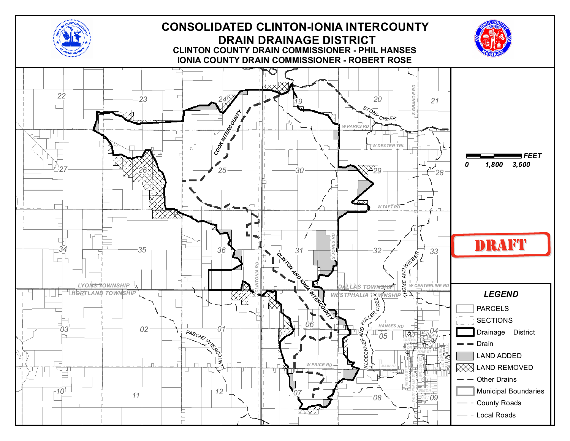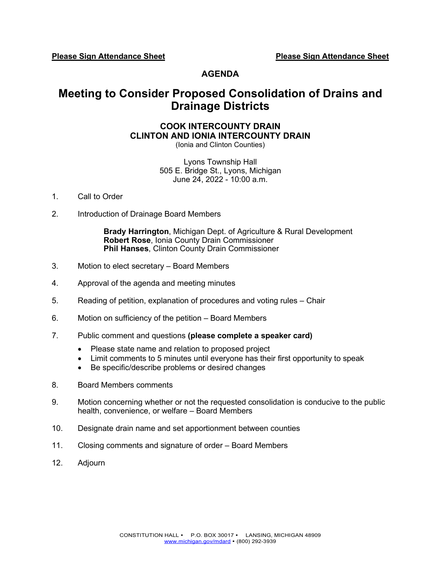**Please Sign Attendance Sheet Please Sign Attendance Sheet** 

### **AGENDA**

## **Meeting to Consider Proposed Consolidation of Drains and Drainage Districts**

### **COOK INTERCOUNTY DRAIN CLINTON AND IONIA INTERCOUNTY DRAIN**

(Ionia and Clinton Counties)

Lyons Township Hall 505 E. Bridge St., Lyons, Michigan June 24, 2022 - 10:00 a.m.

- 1. Call to Order
- 2. Introduction of Drainage Board Members

**Brady Harrington**, Michigan Dept. of Agriculture & Rural Development **Robert Rose**, Ionia County Drain Commissioner **Phil Hanses**, Clinton County Drain Commissioner

- 3. Motion to elect secretary Board Members
- 4. Approval of the agenda and meeting minutes
- 5. Reading of petition, explanation of procedures and voting rules Chair
- 6. Motion on sufficiency of the petition Board Members
- 7. Public comment and questions **(please complete a speaker card)**
	- Please state name and relation to proposed project
	- Limit comments to 5 minutes until everyone has their first opportunity to speak
	- Be specific/describe problems or desired changes
- 8. Board Members comments
- 9. Motion concerning whether or not the requested consolidation is conducive to the public health, convenience, or welfare – Board Members
- 10. Designate drain name and set apportionment between counties
- 11. Closing comments and signature of order Board Members
- 12. Adjourn